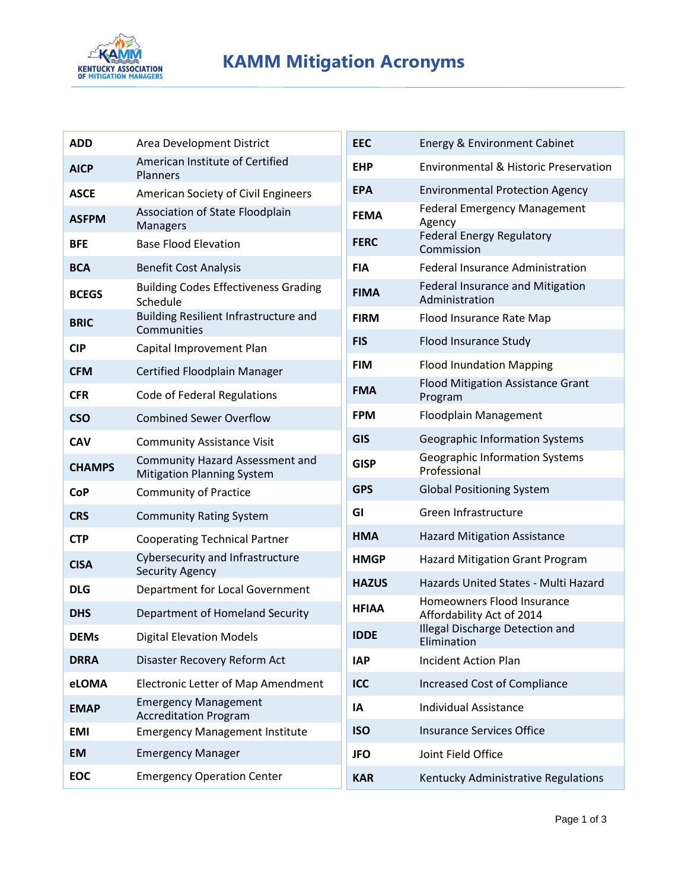

## **KAMM Mitigation Acronyms**

| <b>ADD</b>    | Area Development District                                                   |  |  |  |
|---------------|-----------------------------------------------------------------------------|--|--|--|
| <b>AICP</b>   | American Institute of Certified<br>Planners                                 |  |  |  |
| <b>ASCE</b>   | American Society of Civil Engineers                                         |  |  |  |
| <b>ASFPM</b>  | Association of State Floodplain<br>Managers                                 |  |  |  |
| <b>BFE</b>    | <b>Base Flood Elevation</b>                                                 |  |  |  |
| <b>BCA</b>    | <b>Benefit Cost Analysis</b>                                                |  |  |  |
| <b>BCEGS</b>  | <b>Building Codes Effectiveness Grading</b><br>Schedule                     |  |  |  |
| <b>BRIC</b>   | Building Resilient Infrastructure and<br>Communities                        |  |  |  |
| <b>CIP</b>    | Capital Improvement Plan                                                    |  |  |  |
| <b>CFM</b>    | Certified Floodplain Manager                                                |  |  |  |
| <b>CFR</b>    | Code of Federal Regulations                                                 |  |  |  |
| <b>CSO</b>    | <b>Combined Sewer Overflow</b>                                              |  |  |  |
| <b>CAV</b>    | <b>Community Assistance Visit</b>                                           |  |  |  |
| <b>CHAMPS</b> | <b>Community Hazard Assessment and</b><br><b>Mitigation Planning System</b> |  |  |  |
| <b>CoP</b>    | <b>Community of Practice</b>                                                |  |  |  |
| <b>CRS</b>    | <b>Community Rating System</b>                                              |  |  |  |
| <b>CTP</b>    | <b>Cooperating Technical Partner</b>                                        |  |  |  |
| <b>CISA</b>   | Cybersecurity and Infrastructure<br><b>Security Agency</b>                  |  |  |  |
| <b>DLG</b>    | Department for Local Government                                             |  |  |  |
| <b>DHS</b>    | Department of Homeland Security                                             |  |  |  |
| <b>DEMs</b>   | <b>Digital Elevation Models</b>                                             |  |  |  |
| <b>DRRA</b>   | Disaster Recovery Reform Act                                                |  |  |  |
| eLOMA         | <b>Electronic Letter of Map Amendment</b>                                   |  |  |  |
| <b>EMAP</b>   | <b>Emergency Management</b><br><b>Accreditation Program</b>                 |  |  |  |
| <b>EMI</b>    | <b>Emergency Management Institute</b>                                       |  |  |  |
| <b>EM</b>     | <b>Emergency Manager</b>                                                    |  |  |  |
| <b>EOC</b>    | <b>Emergency Operation Center</b>                                           |  |  |  |

| <b>EEC</b>   | <b>Energy &amp; Environment Cabinet</b>                   |  |  |
|--------------|-----------------------------------------------------------|--|--|
| <b>EHP</b>   | Environmental & Historic Preservation                     |  |  |
| <b>EPA</b>   | <b>Environmental Protection Agency</b>                    |  |  |
| <b>FEMA</b>  | <b>Federal Emergency Management</b><br>Agency             |  |  |
| <b>FERC</b>  | <b>Federal Energy Regulatory</b><br>Commission            |  |  |
| <b>FIA</b>   | <b>Federal Insurance Administration</b>                   |  |  |
| <b>FIMA</b>  | <b>Federal Insurance and Mitigation</b><br>Administration |  |  |
| <b>FIRM</b>  | Flood Insurance Rate Map                                  |  |  |
| <b>FIS</b>   | Flood Insurance Study                                     |  |  |
| <b>FIM</b>   | <b>Flood Inundation Mapping</b>                           |  |  |
| <b>FMA</b>   | <b>Flood Mitigation Assistance Grant</b><br>Program       |  |  |
| <b>FPM</b>   | <b>Floodplain Management</b>                              |  |  |
| <b>GIS</b>   | <b>Geographic Information Systems</b>                     |  |  |
| <b>GISP</b>  | <b>Geographic Information Systems</b><br>Professional     |  |  |
| <b>GPS</b>   | <b>Global Positioning System</b>                          |  |  |
| GI           | Green Infrastructure                                      |  |  |
| HMA          | <b>Hazard Mitigation Assistance</b>                       |  |  |
| <b>HMGP</b>  | <b>Hazard Mitigation Grant Program</b>                    |  |  |
| <b>HAZUS</b> | Hazards United States - Multi Hazard                      |  |  |
| <b>HFIAA</b> | Homeowners Flood Insurance<br>Affordability Act of 2014   |  |  |
| IDDF         | Illegal Discharge Detection and<br>Elimination            |  |  |
| <b>IAP</b>   | <b>Incident Action Plan</b>                               |  |  |
| ICC          | <b>Increased Cost of Compliance</b>                       |  |  |
| IA           | <b>Individual Assistance</b>                              |  |  |
| <b>ISO</b>   | <b>Insurance Services Office</b>                          |  |  |
| <b>JFO</b>   | Joint Field Office                                        |  |  |
| <b>KAR</b>   | Kentucky Administrative Regulations                       |  |  |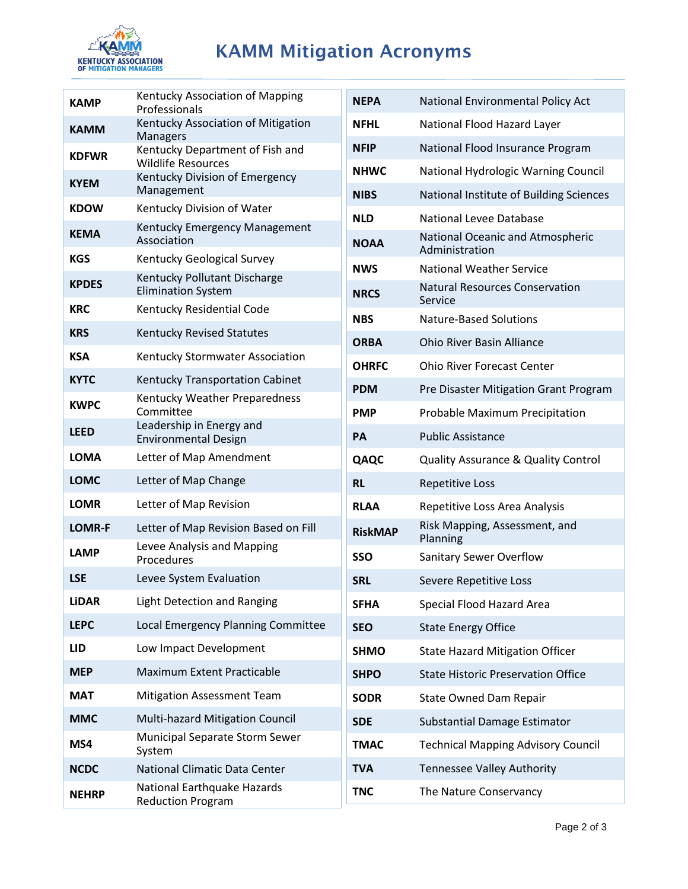

## KAMM Mitigation Acronyms

| <b>KAMP</b>   | Kentucky Association of Mapping<br>Professionals             |  |  |
|---------------|--------------------------------------------------------------|--|--|
| <b>KAMM</b>   | Kentucky Association of Mitigation<br><b>Managers</b>        |  |  |
| <b>KDFWR</b>  | Kentucky Department of Fish and<br><b>Wildlife Resources</b> |  |  |
| <b>KYEM</b>   | Kentucky Division of Emergency<br>Management                 |  |  |
| <b>KDOW</b>   | Kentucky Division of Water                                   |  |  |
| <b>KEMA</b>   | Kentucky Emergency Management<br>Association                 |  |  |
| <b>KGS</b>    | Kentucky Geological Survey                                   |  |  |
| <b>KPDES</b>  | Kentucky Pollutant Discharge<br><b>Elimination System</b>    |  |  |
| <b>KRC</b>    | Kentucky Residential Code                                    |  |  |
| <b>KRS</b>    | <b>Kentucky Revised Statutes</b>                             |  |  |
| <b>KSA</b>    | Kentucky Stormwater Association                              |  |  |
| <b>KYTC</b>   | Kentucky Transportation Cabinet                              |  |  |
| <b>KWPC</b>   | Kentucky Weather Preparedness<br>Committee                   |  |  |
| <b>LEED</b>   | Leadership in Energy and<br><b>Environmental Design</b>      |  |  |
| LOMA          | Letter of Map Amendment                                      |  |  |
| <b>LOMC</b>   | Letter of Map Change                                         |  |  |
| <b>LOMR</b>   | Letter of Map Revision                                       |  |  |
| <b>LOMR-F</b> | Letter of Map Revision Based on Fill                         |  |  |
| <b>LAMP</b>   | Levee Analysis and Mapping<br>Procedures                     |  |  |
| LSE           | Levee System Evaluation                                      |  |  |
| <b>LiDAR</b>  | <b>Light Detection and Ranging</b>                           |  |  |
| <b>LEPC</b>   | Local Emergency Planning Committee                           |  |  |
| LID           | Low Impact Development                                       |  |  |
| <b>MEP</b>    | <b>Maximum Extent Practicable</b>                            |  |  |
| <b>MAT</b>    | <b>Mitigation Assessment Team</b>                            |  |  |
| <b>MMC</b>    | Multi-hazard Mitigation Council                              |  |  |
| MS4           | Municipal Separate Storm Sewer<br>System                     |  |  |
| <b>NCDC</b>   | <b>National Climatic Data Center</b>                         |  |  |
| <b>NEHRP</b>  | National Earthquake Hazards<br><b>Reduction Program</b>      |  |  |

| <b>NEPA</b>    | National Environmental Policy Act                  |  |  |  |
|----------------|----------------------------------------------------|--|--|--|
| NFHL           | National Flood Hazard Layer                        |  |  |  |
| <b>NFIP</b>    | National Flood Insurance Program                   |  |  |  |
| <b>NHWC</b>    | National Hydrologic Warning Council                |  |  |  |
| <b>NIBS</b>    | National Institute of Building Sciences            |  |  |  |
| <b>NLD</b>     | National Levee Database                            |  |  |  |
| <b>NOAA</b>    | National Oceanic and Atmospheric<br>Administration |  |  |  |
| <b>NWS</b>     | <b>National Weather Service</b>                    |  |  |  |
| <b>NRCS</b>    | <b>Natural Resources Conservation</b><br>Service   |  |  |  |
| <b>NBS</b>     | <b>Nature-Based Solutions</b>                      |  |  |  |
| <b>ORBA</b>    | <b>Ohio River Basin Alliance</b>                   |  |  |  |
| <b>OHRFC</b>   | <b>Ohio River Forecast Center</b>                  |  |  |  |
| <b>PDM</b>     | Pre Disaster Mitigation Grant Program              |  |  |  |
| <b>PMP</b>     | Probable Maximum Precipitation                     |  |  |  |
| PA             | <b>Public Assistance</b>                           |  |  |  |
| QAQC           | <b>Quality Assurance &amp; Quality Control</b>     |  |  |  |
| <b>RL</b>      | <b>Repetitive Loss</b>                             |  |  |  |
| <b>RLAA</b>    | Repetitive Loss Area Analysis                      |  |  |  |
| <b>RiskMAP</b> | Risk Mapping, Assessment, and<br>Planning          |  |  |  |
| <b>SSO</b>     | <b>Sanitary Sewer Overflow</b>                     |  |  |  |
| <b>SRL</b>     | Severe Repetitive Loss                             |  |  |  |
| <b>SFHA</b>    | Special Flood Hazard Area                          |  |  |  |
| <b>SEO</b>     | <b>State Energy Office</b>                         |  |  |  |
| <b>SHMO</b>    | <b>State Hazard Mitigation Officer</b>             |  |  |  |
| <b>SHPO</b>    | <b>State Historic Preservation Office</b>          |  |  |  |
| <b>SODR</b>    | <b>State Owned Dam Repair</b>                      |  |  |  |
| <b>SDE</b>     | Substantial Damage Estimator                       |  |  |  |
| <b>TMAC</b>    | <b>Technical Mapping Advisory Council</b>          |  |  |  |
| <b>TVA</b>     | <b>Tennessee Valley Authority</b>                  |  |  |  |
| <b>TNC</b>     | The Nature Conservancy                             |  |  |  |